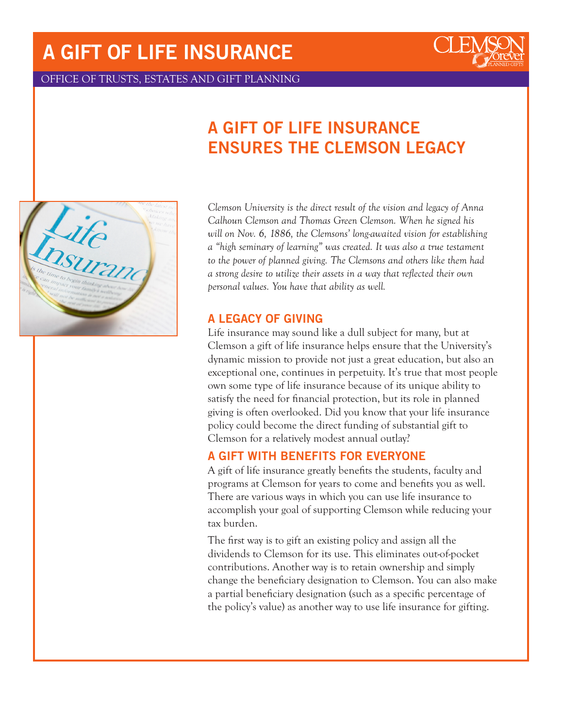# A GIFT OF LIFE INSURANCE



OFFICE OF TRUSTS, ESTATES AND GIFT PLANNING

# A GIFT OF LIFE INSURANCE ENSURES THE CLEMSON LEGACY



*Clemson University is the direct result of the vision and legacy of Anna Calhoun Clemson and Thomas Green Clemson. When he signed his will on Nov. 6, 1886, the Clemsons' long-awaited vision for establishing a "high seminary of learning" was created. It was also a true testament to the power of planned giving. The Clemsons and others like them had a strong desire to utilize their assets in a way that reflected their own personal values. You have that ability as well.*

#### A LEGACY OF GIVING

Life insurance may sound like a dull subject for many, but at Clemson a gift of life insurance helps ensure that the University's dynamic mission to provide not just a great education, but also an exceptional one, continues in perpetuity. It's true that most people own some type of life insurance because of its unique ability to satisfy the need for financial protection, but its role in planned giving is often overlooked. Did you know that your life insurance policy could become the direct funding of substantial gift to Clemson for a relatively modest annual outlay?

#### A GIFT WITH BENEFITS FOR EVERYONE

A gift of life insurance greatly benefits the students, faculty and programs at Clemson for years to come and benefits you as well. There are various ways in which you can use life insurance to accomplish your goal of supporting Clemson while reducing your tax burden.

The first way is to gift an existing policy and assign all the dividends to Clemson for its use. This eliminates out-of-pocket contributions. Another way is to retain ownership and simply change the beneficiary designation to Clemson. You can also make a partial beneficiary designation (such as a specific percentage of the policy's value) as another way to use life insurance for gifting.